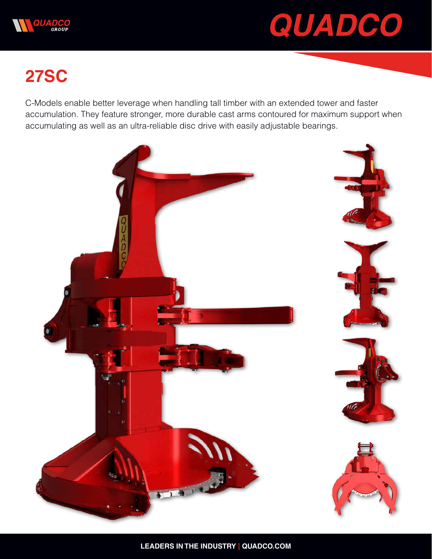



## **27SC**

C-Models enable better leverage when handling tall timber with an extended tower and faster accumulation. They feature stronger, more durable cast arms contoured for maximum support when accumulating as well as an ultra-reliable disc drive with easily adjustable bearings.